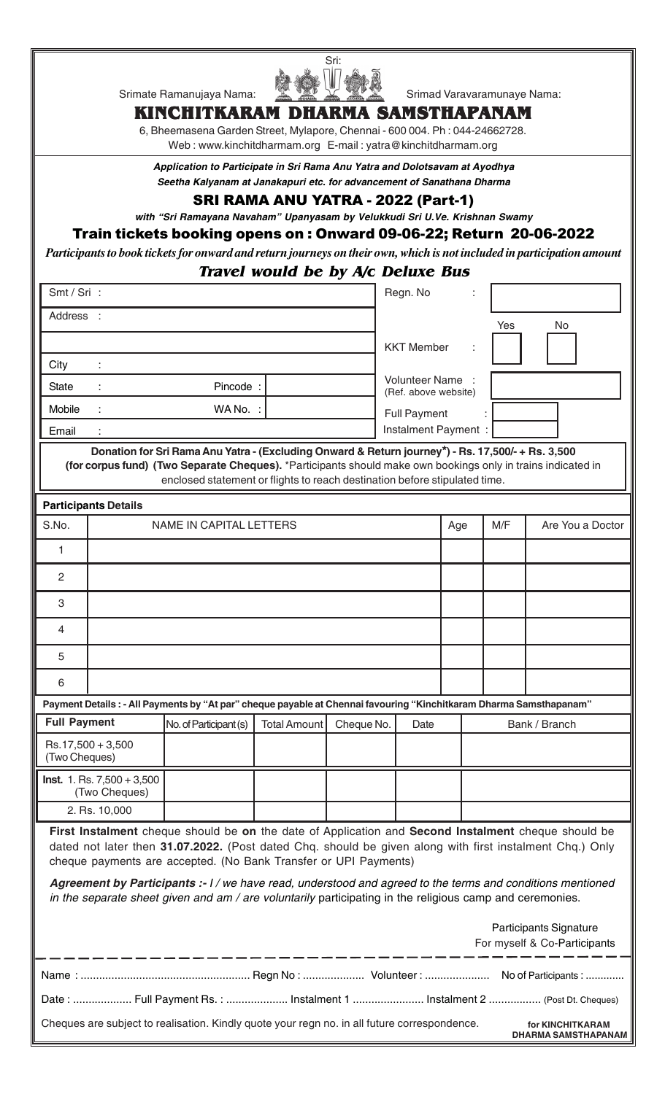

## **KINCHITKARAM DHARMA SAMSTHAPANAM**

6, Bheemasena Garden Street, Mylapore, Chennai - 600 004. Ph : 044-24662728. Web : www.kinchitdharmam.org E-mail : yatra@kinchitdharmam.org

*Application to Participate in Sri Rama Anu Yatra and Dolotsavam at Ayodhya Seetha Kalyanam at Janakapuri etc. for advancement of Sanathana Dharma*

### SRI RAMA ANU YATRA - 2022 (Part-1)

*with "Sri Ramayana Navaham" Upanyasam by Velukkudi Sri U.Ve. Krishnan Swamy*

## Train tickets booking opens on : Onward 09-06-22; Return 20-06-2022

*Participants to book tickets for onward and return journeys on their own, which is not included in participation amount*

# **Travel would be by A/c Deluxe Bus**

| Smt / Sri :                                                                                                                                                                                                                                                                                                                                                                                                                                                                                                   |                                                                          |                                                                                                                                                                                                                                                                                                 |            |                       | Regn. No                                      |     |     |                  |
|---------------------------------------------------------------------------------------------------------------------------------------------------------------------------------------------------------------------------------------------------------------------------------------------------------------------------------------------------------------------------------------------------------------------------------------------------------------------------------------------------------------|--------------------------------------------------------------------------|-------------------------------------------------------------------------------------------------------------------------------------------------------------------------------------------------------------------------------------------------------------------------------------------------|------------|-----------------------|-----------------------------------------------|-----|-----|------------------|
|                                                                                                                                                                                                                                                                                                                                                                                                                                                                                                               | Address :                                                                |                                                                                                                                                                                                                                                                                                 |            |                       |                                               |     | Yes | No               |
|                                                                                                                                                                                                                                                                                                                                                                                                                                                                                                               |                                                                          |                                                                                                                                                                                                                                                                                                 |            |                       | <b>KKT Member</b>                             |     |     |                  |
| City                                                                                                                                                                                                                                                                                                                                                                                                                                                                                                          |                                                                          |                                                                                                                                                                                                                                                                                                 |            |                       |                                               |     |     |                  |
| <b>State</b>                                                                                                                                                                                                                                                                                                                                                                                                                                                                                                  |                                                                          | Pincode:                                                                                                                                                                                                                                                                                        |            |                       | <b>Volunteer Name</b><br>(Ref. above website) |     |     |                  |
| Mobile                                                                                                                                                                                                                                                                                                                                                                                                                                                                                                        |                                                                          | WA No. :                                                                                                                                                                                                                                                                                        |            |                       | <b>Full Payment</b>                           |     |     |                  |
| Email                                                                                                                                                                                                                                                                                                                                                                                                                                                                                                         |                                                                          |                                                                                                                                                                                                                                                                                                 |            |                       | Instalment Payment :                          |     |     |                  |
|                                                                                                                                                                                                                                                                                                                                                                                                                                                                                                               |                                                                          | Donation for Sri Rama Anu Yatra - (Excluding Onward & Return journey*) - Rs. 17,500/- + Rs. 3,500<br>(for corpus fund) (Two Separate Cheques). *Participants should make own bookings only in trains indicated in<br>enclosed statement or flights to reach destination before stipulated time. |            |                       |                                               |     |     |                  |
|                                                                                                                                                                                                                                                                                                                                                                                                                                                                                                               | <b>Participants Details</b>                                              |                                                                                                                                                                                                                                                                                                 |            |                       |                                               |     |     |                  |
| S.No.                                                                                                                                                                                                                                                                                                                                                                                                                                                                                                         |                                                                          | <b>NAME IN CAPITAL LETTERS</b>                                                                                                                                                                                                                                                                  |            |                       |                                               | Age | M/F | Are You a Doctor |
| 1                                                                                                                                                                                                                                                                                                                                                                                                                                                                                                             |                                                                          |                                                                                                                                                                                                                                                                                                 |            |                       |                                               |     |     |                  |
| $\overline{2}$                                                                                                                                                                                                                                                                                                                                                                                                                                                                                                |                                                                          |                                                                                                                                                                                                                                                                                                 |            |                       |                                               |     |     |                  |
| 3                                                                                                                                                                                                                                                                                                                                                                                                                                                                                                             |                                                                          |                                                                                                                                                                                                                                                                                                 |            |                       |                                               |     |     |                  |
| 4                                                                                                                                                                                                                                                                                                                                                                                                                                                                                                             |                                                                          |                                                                                                                                                                                                                                                                                                 |            |                       |                                               |     |     |                  |
| 5                                                                                                                                                                                                                                                                                                                                                                                                                                                                                                             |                                                                          |                                                                                                                                                                                                                                                                                                 |            |                       |                                               |     |     |                  |
| 6                                                                                                                                                                                                                                                                                                                                                                                                                                                                                                             |                                                                          |                                                                                                                                                                                                                                                                                                 |            |                       |                                               |     |     |                  |
| Payment Details : - All Payments by "At par" cheque payable at Chennai favouring "Kinchitkaram Dharma Samsthapanam"                                                                                                                                                                                                                                                                                                                                                                                           |                                                                          |                                                                                                                                                                                                                                                                                                 |            |                       |                                               |     |     |                  |
| <b>Full Payment</b><br>No. of Participant (s)<br><b>Total Amount</b>                                                                                                                                                                                                                                                                                                                                                                                                                                          |                                                                          |                                                                                                                                                                                                                                                                                                 | Cheque No. | Bank / Branch<br>Date |                                               |     |     |                  |
| Rs.17,500 + 3,500<br>(Two Cheques)                                                                                                                                                                                                                                                                                                                                                                                                                                                                            |                                                                          |                                                                                                                                                                                                                                                                                                 |            |                       |                                               |     |     |                  |
|                                                                                                                                                                                                                                                                                                                                                                                                                                                                                                               | <b>Inst.</b> 1. Rs. $7,500 + 3,500$<br>(Two Cheques)                     |                                                                                                                                                                                                                                                                                                 |            |                       |                                               |     |     |                  |
|                                                                                                                                                                                                                                                                                                                                                                                                                                                                                                               | 2. Rs. 10,000                                                            |                                                                                                                                                                                                                                                                                                 |            |                       |                                               |     |     |                  |
| First Instalment cheque should be on the date of Application and Second Instalment cheque should be<br>dated not later then 31.07.2022. (Post dated Chq. should be given along with first instalment Chq.) Only<br>cheque payments are accepted. (No Bank Transfer or UPI Payments)<br>Agreement by Participants :- I / we have read, understood and agreed to the terms and conditions mentioned<br>in the separate sheet given and am / are voluntarily participating in the religious camp and ceremonies. |                                                                          |                                                                                                                                                                                                                                                                                                 |            |                       |                                               |     |     |                  |
|                                                                                                                                                                                                                                                                                                                                                                                                                                                                                                               |                                                                          |                                                                                                                                                                                                                                                                                                 |            |                       |                                               |     |     |                  |
|                                                                                                                                                                                                                                                                                                                                                                                                                                                                                                               | Participants Signature<br>For myself & Co-Participants                   |                                                                                                                                                                                                                                                                                                 |            |                       |                                               |     |     |                  |
|                                                                                                                                                                                                                                                                                                                                                                                                                                                                                                               |                                                                          |                                                                                                                                                                                                                                                                                                 |            |                       |                                               |     |     |                  |
|                                                                                                                                                                                                                                                                                                                                                                                                                                                                                                               | Date:  Full Payment Rs.:  Instalment 1  Instalment 2  (Post Dt. Cheques) |                                                                                                                                                                                                                                                                                                 |            |                       |                                               |     |     |                  |
|                                                                                                                                                                                                                                                                                                                                                                                                                                                                                                               |                                                                          | Cheques are subject to realisation. Kindly quote your regn no. in all future correspondence.                                                                                                                                                                                                    |            |                       |                                               |     |     | for KINCHITKARAM |

 **DHARMA SAMSTHAPANAM**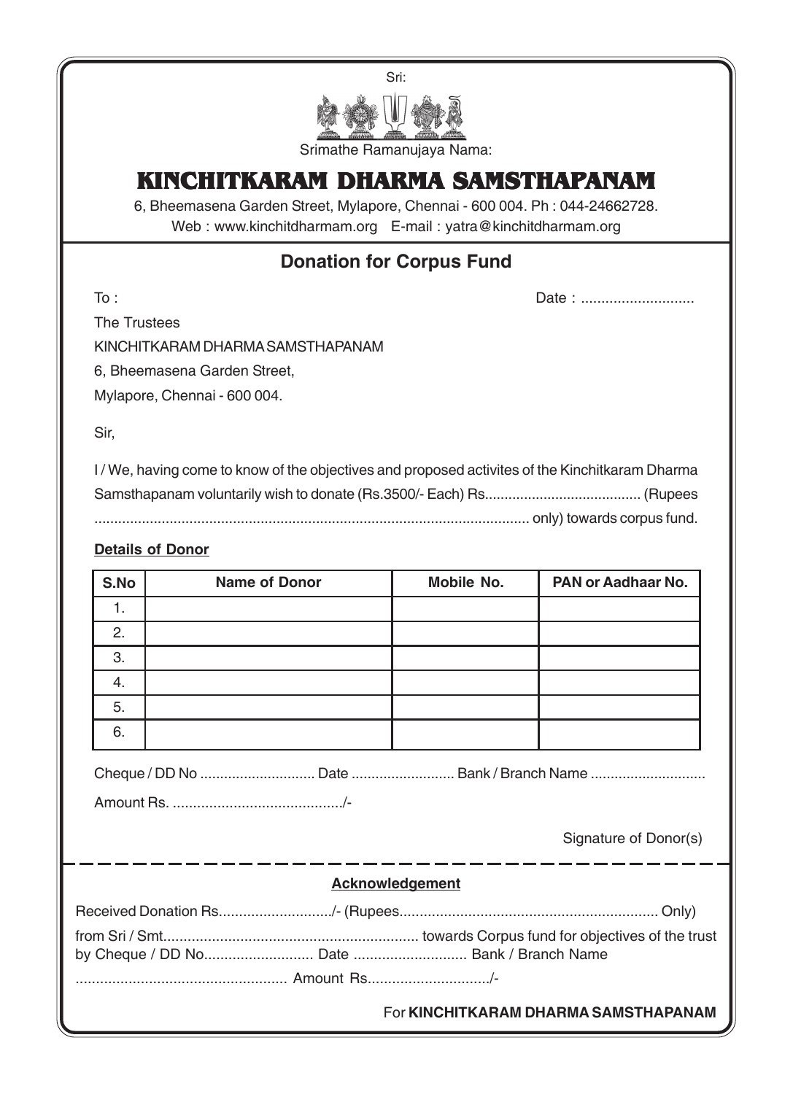

# **KINCHITKARAM DHARMA SAMSTHAPANAM**

6, Bheemasena Garden Street, Mylapore, Chennai - 600 004. Ph : 044-24662728. Web : www.kinchitdharmam.org E-mail : yatra@kinchitdharmam.org

# **Donation for Corpus Fund**

To : Date : ............................

The Trustees

KINCHITKARAM DHARMA SAMSTHAPANAM

6, Bheemasena Garden Street,

Mylapore, Chennai - 600 004.

Sir,

I / We, having come to know of the objectives and proposed activites of the Kinchitkaram Dharma Samsthapanam voluntarily wish to donate (Rs.3500/- Each) Rs........................................ (Rupees .............................................................................................................. only) towards corpus fund.

## **Details of Donor**

| S.No | <b>Name of Donor</b> | Mobile No. | PAN or Aadhaar No. |
|------|----------------------|------------|--------------------|
| .,   |                      |            |                    |
| 2.   |                      |            |                    |
| 3.   |                      |            |                    |
| 4.   |                      |            |                    |
| 5.   |                      |            |                    |
| 6.   |                      |            |                    |

Cheque / DD No ............................. Date .......................... Bank / Branch Name .............................

Amount Rs. ........................................../-

Signature of Donor(s)

| <b>Acknowledgement</b> |
|------------------------|
|------------------------|

For **KINCHITKARAM DHARMA SAMSTHAPANAM**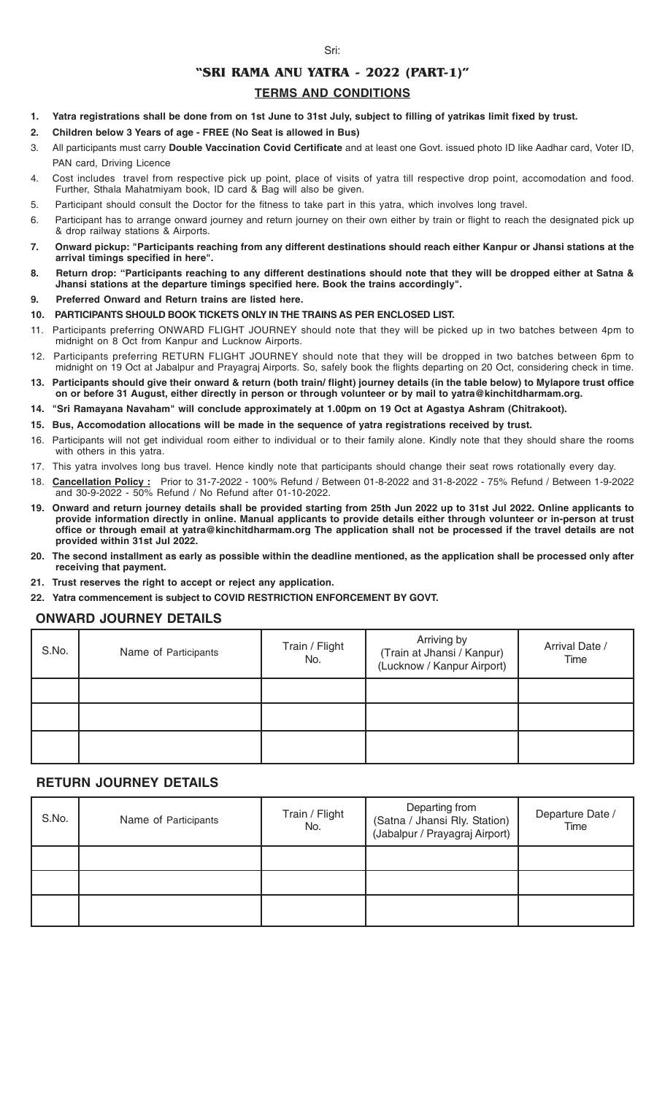#### Sri:

## **"SRI RAMA ANU YATRA - 2022 (PART-1)"**

### **TERMS AND CONDITIONS**

- **1. Yatra registrations shall be done from on 1st June to 31st July, subject to filling of yatrikas limit fixed by trust.**
- **2. Children below 3 Years of age FREE (No Seat is allowed in Bus)**
- 3. All participants must carry **Double Vaccination Covid Certificate** and at least one Govt. issued photo ID like Aadhar card, Voter ID, PAN card, Driving Licence
- 4. Cost includes travel from respective pick up point, place of visits of yatra till respective drop point, accomodation and food. Further, Sthala Mahatmiyam book, ID card & Bag will also be given.
- 5. Participant should consult the Doctor for the fitness to take part in this yatra, which involves long travel.
- 6. Participant has to arrange onward journey and return journey on their own either by train or flight to reach the designated pick up & drop railway stations & Airports.
- **7. Onward pickup: "Participants reaching from any different destinations should reach either Kanpur or Jhansi stations at the arrival timings specified in here".**
- **8. Return drop: "Participants reaching to any different destinations should note that they will be dropped either at Satna & Jhansi stations at the departure timings specified here. Book the trains accordingly".**
- **9. Preferred Onward and Return trains are listed here.**
- **10. PARTICIPANTS SHOULD BOOK TICKETS ONLY IN THE TRAINS AS PER ENCLOSED LIST.**
- 11. Participants preferring ONWARD FLIGHT JOURNEY should note that they will be picked up in two batches between 4pm to midnight on 8 Oct from Kanpur and Lucknow Airports.
- 12. Participants preferring RETURN FLIGHT JOURNEY should note that they will be dropped in two batches between 6pm to midnight on 19 Oct at Jabalpur and Prayagraj Airports. So, safely book the flights departing on 20 Oct, considering check in time.
- **13. Participants should give their onward & return (both train/ flight) journey details (in the table below) to Mylapore trust office on or before 31 August, either directly in person or through volunteer or by mail to yatra@kinchitdharmam.org.**
- **14. "Sri Ramayana Navaham" will conclude approximately at 1.00pm on 19 Oct at Agastya Ashram (Chitrakoot).**
- **15. Bus, Accomodation allocations will be made in the sequence of yatra registrations received by trust.**
- 16. Participants will not get individual room either to individual or to their family alone. Kindly note that they should share the rooms with others in this yatra.
- 17. This yatra involves long bus travel. Hence kindly note that participants should change their seat rows rotationally every day.
- 18. **Cancellation Policy :** Prior to 31-7-2022 100% Refund / Between 01-8-2022 and 31-8-2022 75% Refund / Between 1-9-2022 and 30-9-2022 - 50% Refund / No Refund after 01-10-2022.
- **19. Onward and return journey details shall be provided starting from 25th Jun 2022 up to 31st Jul 2022. Online applicants to provide information directly in online. Manual applicants to provide details either through volunteer or in-person at trust office or through email at yatra@kinchitdharmam.org The application shall not be processed if the travel details are not provided within 31st Jul 2022.**
- **20. The second installment as early as possible within the deadline mentioned, as the application shall be processed only after receiving that payment.**
- **21. Trust reserves the right to accept or reject any application.**
- **22. Yatra commencement is subject to COVID RESTRICTION ENFORCEMENT BY GOVT.**

### **ONWARD JOURNEY DETAILS**

| S.No. | Name of Participants | Train / Flight<br>No. | Arriving by<br>(Train at Jhansi / Kanpur)<br>(Lucknow / Kanpur Airport) | Arrival Date /<br>Time |  |
|-------|----------------------|-----------------------|-------------------------------------------------------------------------|------------------------|--|
|       |                      |                       |                                                                         |                        |  |
|       |                      |                       |                                                                         |                        |  |
|       |                      |                       |                                                                         |                        |  |

### **RETURN JOURNEY DETAILS**

| S.No. | Name of Participants | Train / Flight<br>No. | Departing from<br>(Satna / Jhansi Rly. Station)<br>(Jabalpur / Prayagraj Airport) | Departure Date /<br>Time |
|-------|----------------------|-----------------------|-----------------------------------------------------------------------------------|--------------------------|
|       |                      |                       |                                                                                   |                          |
|       |                      |                       |                                                                                   |                          |
|       |                      |                       |                                                                                   |                          |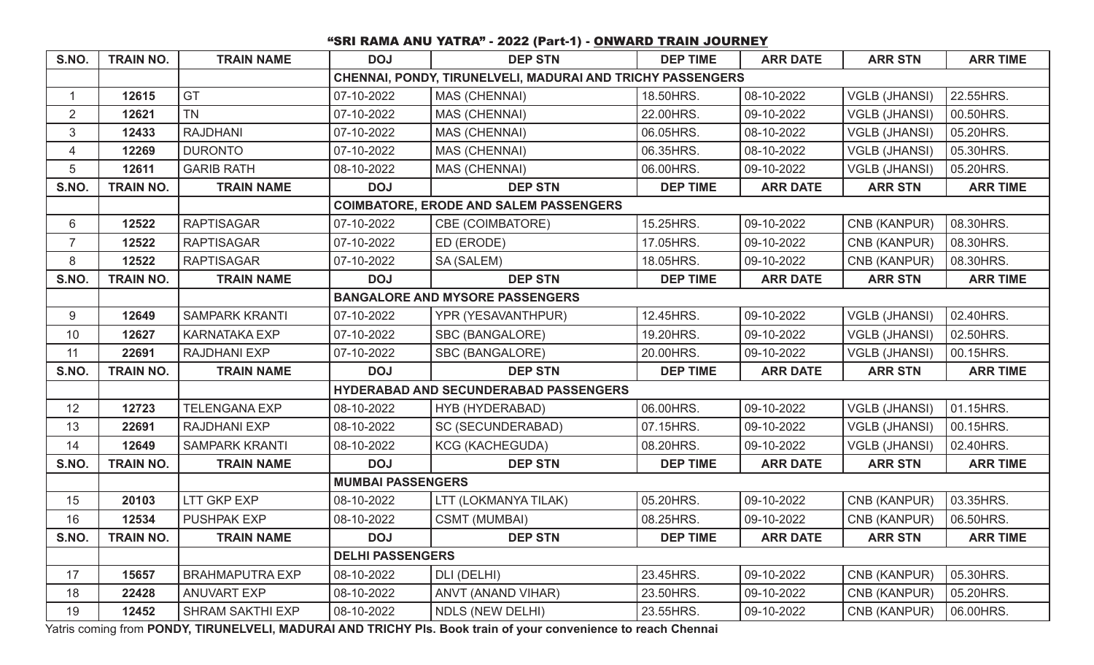# "SRI RAMA ANU YATRA" - 2022 (Part-1) - ONWARD TRAIN JOURNEY

| <b>TRAIN NO.</b> | <b>TRAIN NAME</b>       | <b>DOJ</b>                                                 | <b>DEP STN</b>           | <b>DEP TIME</b>                                                                                                                                                                         | <b>ARR DATE</b> | <b>ARR STN</b>       | <b>ARR TIME</b> |  |
|------------------|-------------------------|------------------------------------------------------------|--------------------------|-----------------------------------------------------------------------------------------------------------------------------------------------------------------------------------------|-----------------|----------------------|-----------------|--|
|                  |                         | CHENNAI, PONDY, TIRUNELVELI, MADURAI AND TRICHY PASSENGERS |                          |                                                                                                                                                                                         |                 |                      |                 |  |
| 12615            | GT                      | 07-10-2022                                                 | MAS (CHENNAI)            | 18.50HRS.                                                                                                                                                                               | 08-10-2022      | <b>VGLB (JHANSI)</b> | 22.55HRS.       |  |
| 12621            | <b>TN</b>               | 07-10-2022                                                 | <b>MAS (CHENNAI)</b>     | 22.00HRS.                                                                                                                                                                               | 09-10-2022      | <b>VGLB (JHANSI)</b> | 00.50HRS.       |  |
| 12433            | <b>RAJDHANI</b>         | 07-10-2022                                                 | MAS (CHENNAI)            | 06.05HRS.                                                                                                                                                                               | 08-10-2022      | <b>VGLB (JHANSI)</b> | 05.20HRS.       |  |
| 12269            | <b>DURONTO</b>          | 07-10-2022                                                 | MAS (CHENNAI)            | 06.35HRS.                                                                                                                                                                               | 08-10-2022      | <b>VGLB (JHANSI)</b> | 05.30HRS.       |  |
| 12611            | <b>GARIB RATH</b>       | 08-10-2022                                                 | MAS (CHENNAI)            | 06.00HRS.                                                                                                                                                                               | 09-10-2022      | <b>VGLB (JHANSI)</b> | 05.20HRS.       |  |
| <b>TRAIN NO.</b> | <b>TRAIN NAME</b>       | <b>DOJ</b>                                                 | <b>DEP STN</b>           | <b>DEP TIME</b>                                                                                                                                                                         | <b>ARR DATE</b> | <b>ARR STN</b>       | <b>ARR TIME</b> |  |
|                  |                         |                                                            |                          |                                                                                                                                                                                         |                 |                      |                 |  |
| 12522            | <b>RAPTISAGAR</b>       | 07-10-2022                                                 | CBE (COIMBATORE)         | 15.25HRS.                                                                                                                                                                               | 09-10-2022      | CNB (KANPUR)         | 08.30HRS.       |  |
| 12522            | <b>RAPTISAGAR</b>       | 07-10-2022                                                 | ED (ERODE)               | 17.05HRS.                                                                                                                                                                               | 09-10-2022      | CNB (KANPUR)         | 08.30HRS.       |  |
| 12522            | <b>RAPTISAGAR</b>       | 07-10-2022                                                 | SA (SALEM)               | 18.05HRS.                                                                                                                                                                               | 09-10-2022      | CNB (KANPUR)         | 08.30HRS.       |  |
| <b>TRAIN NO.</b> | <b>TRAIN NAME</b>       | <b>DOJ</b>                                                 | <b>DEP STN</b>           | <b>DEP TIME</b>                                                                                                                                                                         | <b>ARR DATE</b> | <b>ARR STN</b>       | <b>ARR TIME</b> |  |
|                  |                         |                                                            |                          |                                                                                                                                                                                         |                 |                      |                 |  |
| 12649            | <b>SAMPARK KRANTI</b>   | 07-10-2022                                                 | YPR (YESAVANTHPUR)       | 12.45HRS.                                                                                                                                                                               | 09-10-2022      | <b>VGLB (JHANSI)</b> | 02.40HRS.       |  |
| 12627            | <b>KARNATAKA EXP</b>    | 07-10-2022                                                 | SBC (BANGALORE)          | 19.20HRS.                                                                                                                                                                               | 09-10-2022      | <b>VGLB (JHANSI)</b> | 02.50HRS.       |  |
| 22691            | <b>RAJDHANI EXP</b>     | 07-10-2022                                                 | SBC (BANGALORE)          | 20.00HRS.                                                                                                                                                                               | 09-10-2022      | <b>VGLB (JHANSI)</b> | 00.15HRS.       |  |
| <b>TRAIN NO.</b> | <b>TRAIN NAME</b>       | <b>DOJ</b>                                                 | <b>DEP STN</b>           | <b>DEP TIME</b>                                                                                                                                                                         | <b>ARR DATE</b> | <b>ARR STN</b>       | <b>ARR TIME</b> |  |
|                  |                         |                                                            |                          |                                                                                                                                                                                         |                 |                      |                 |  |
| 12723            | <b>TELENGANA EXP</b>    | 08-10-2022                                                 | HYB (HYDERABAD)          | 06.00HRS.                                                                                                                                                                               | 09-10-2022      | <b>VGLB (JHANSI)</b> | 01.15HRS.       |  |
| 22691            | <b>RAJDHANI EXP</b>     | 08-10-2022                                                 | <b>SC (SECUNDERABAD)</b> | 07.15HRS.                                                                                                                                                                               | 09-10-2022      | <b>VGLB (JHANSI)</b> | 00.15HRS.       |  |
| 12649            | <b>SAMPARK KRANTI</b>   | 08-10-2022                                                 | <b>KCG (KACHEGUDA)</b>   | 08.20HRS.                                                                                                                                                                               | 09-10-2022      | <b>VGLB (JHANSI)</b> | 02.40HRS.       |  |
| <b>TRAIN NO.</b> | <b>TRAIN NAME</b>       | <b>DOJ</b>                                                 | <b>DEP STN</b>           | <b>DEP TIME</b>                                                                                                                                                                         | <b>ARR DATE</b> | <b>ARR STN</b>       | <b>ARR TIME</b> |  |
|                  |                         |                                                            |                          |                                                                                                                                                                                         |                 |                      |                 |  |
| 20103            | LTT GKP EXP             | 08-10-2022                                                 | LTT (LOKMANYA TILAK)     | 05.20HRS.                                                                                                                                                                               | 09-10-2022      | CNB (KANPUR)         | 03.35HRS.       |  |
| 12534            | <b>PUSHPAK EXP</b>      | 08-10-2022                                                 | <b>CSMT (MUMBAI)</b>     | 08.25HRS.                                                                                                                                                                               | 09-10-2022      | CNB (KANPUR)         | 06.50HRS.       |  |
| <b>TRAIN NO.</b> | <b>TRAIN NAME</b>       | <b>DOJ</b>                                                 | <b>DEP STN</b>           | <b>DEP TIME</b>                                                                                                                                                                         | <b>ARR DATE</b> | <b>ARR STN</b>       | <b>ARR TIME</b> |  |
|                  |                         |                                                            |                          |                                                                                                                                                                                         |                 |                      |                 |  |
| 15657            | <b>BRAHMAPUTRA EXP</b>  | 08-10-2022                                                 | DLI (DELHI)              | 23.45HRS.                                                                                                                                                                               | 09-10-2022      | CNB (KANPUR)         | 05.30HRS.       |  |
| 22428            | <b>ANUVART EXP</b>      | 08-10-2022                                                 | ANVT (ANAND VIHAR)       | 23.50HRS.                                                                                                                                                                               | 09-10-2022      | CNB (KANPUR)         | 05.20HRS.       |  |
| 12452            | <b>SHRAM SAKTHI EXP</b> | 08-10-2022                                                 | <b>NDLS (NEW DELHI)</b>  | 23.55HRS.                                                                                                                                                                               | 09-10-2022      | CNB (KANPUR)         | 06.00HRS.       |  |
|                  |                         |                                                            |                          | <b>COIMBATORE, ERODE AND SALEM PASSENGERS</b><br><b>BANGALORE AND MYSORE PASSENGERS</b><br>HYDERABAD AND SECUNDERABAD PASSENGERS<br><b>MUMBAI PASSENGERS</b><br><b>DELHI PASSENGERS</b> |                 |                      |                 |  |

Yatris coming from **PONDY, TIRUNELVELI, MADURAI AND TRICHY Pls. Book train of your convenience to reach Chennai**